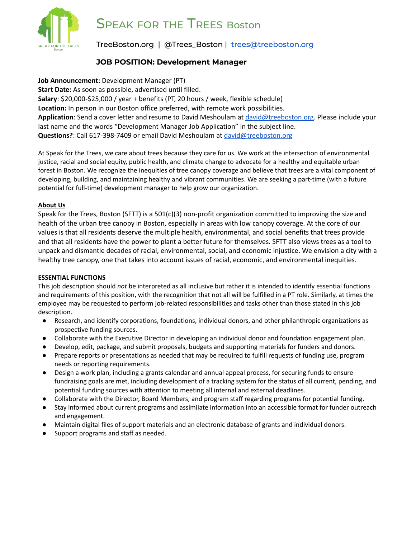

# SPEAK FOR THE TREES Boston

TreeBoston.org | @Trees\_Boston | [trees@treeboston.org](mailto:trees@treeboston.org)

## **JOB POSITION: Development Manager**

**Job Announcement:** Development Manager (PT) **Start Date:** As soon as possible, advertised until filled. **Salary**: \$20,000-\$25,000 / year + benefits (PT, 20 hours / week, flexible schedule) **Location:** In person in our Boston office preferred, with remote work possibilities. **Application**: Send a cover letter and resume to David Meshoulam at [david@treeboston.org.](mailto:david@treeboston.org) Please include your last name and the words "Development Manager Job Application" in the subject line. **Questions?**: Call 617-398-7409 or email David Meshoulam at [david@treeboston.org](mailto:david@treeboston.org)

At Speak for the Trees, we care about trees because they care for us. We work at the intersection of environmental justice, racial and social equity, public health, and climate change to advocate for a healthy and equitable urban forest in Boston. We recognize the inequities of tree canopy coverage and believe that trees are a vital component of developing, building, and maintaining healthy and vibrant communities. We are seeking a part-time (with a future potential for full-time) development manager to help grow our organization.

### **About Us**

Speak for the Trees, Boston (SFTT) is a 501(c)(3) non-profit organization committed to improving the size and health of the urban tree canopy in Boston, especially in areas with low canopy coverage. At the core of our values is that all residents deserve the multiple health, environmental, and social benefits that trees provide and that all residents have the power to plant a better future for themselves. SFTT also views trees as a tool to unpack and dismantle decades of racial, environmental, social, and economic injustice. We envision a city with a healthy tree canopy, one that takes into account issues of racial, economic, and environmental inequities.

### **ESSENTIAL FUNCTIONS**

This job description should *not* be interpreted as all inclusive but rather it is intended to identify essential functions and requirements of this position, with the recognition that not all will be fulfilled in a PT role. Similarly, at times the employee may be requested to perform job-related responsibilities and tasks other than those stated in this job description.

- Research, and identify corporations, foundations, individual donors, and other philanthropic organizations as prospective funding sources.
- Collaborate with the Executive Director in developing an individual donor and foundation engagement plan.
- Develop, edit, package, and submit proposals, budgets and supporting materials for funders and donors.
- Prepare reports or presentations as needed that may be required to fulfill requests of funding use, program needs or reporting requirements.
- Design a work plan, including a grants calendar and annual appeal process, for securing funds to ensure fundraising goals are met, including development of a tracking system for the status of all current, pending, and potential funding sources with attention to meeting all internal and external deadlines.
- Collaborate with the Director, Board Members, and program staff regarding programs for potential funding.
- Stay informed about current programs and assimilate information into an accessible format for funder outreach and engagement.
- Maintain digital files of support materials and an electronic database of grants and individual donors.
- Support programs and staff as needed.